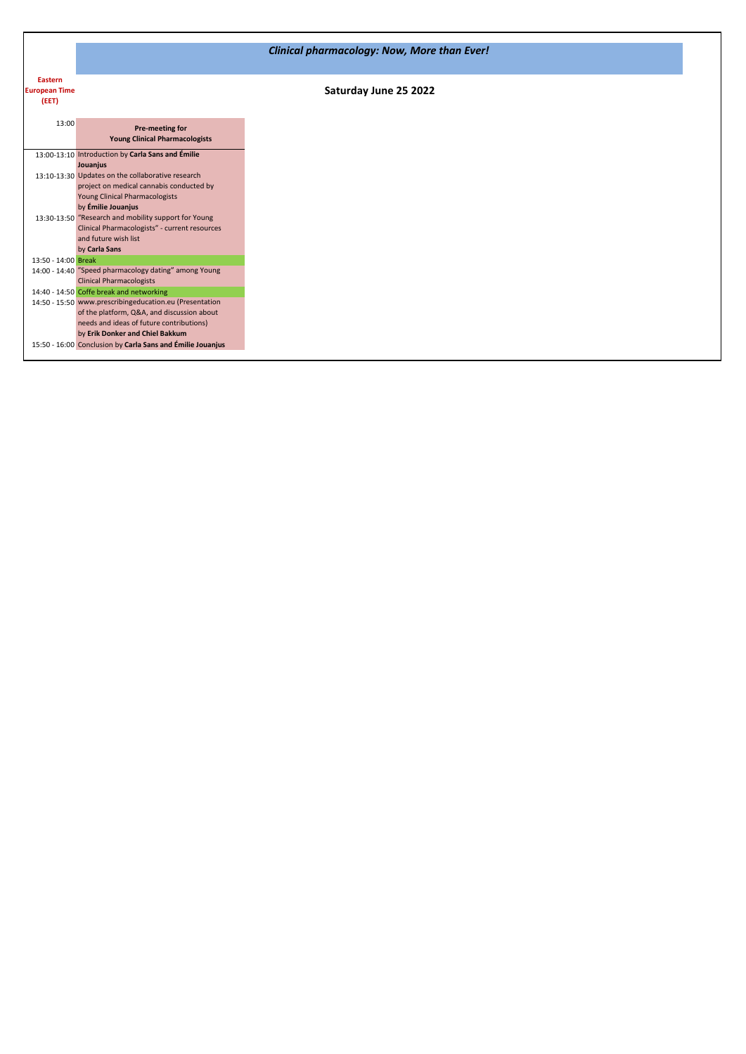|                      |                                                            | <b>Clinical pharmacology: Now, More than Ever!</b> |
|----------------------|------------------------------------------------------------|----------------------------------------------------|
|                      |                                                            |                                                    |
| <b>Eastern</b>       |                                                            |                                                    |
| <b>European Time</b> |                                                            | Saturday June 25 2022                              |
| (EET)                |                                                            |                                                    |
|                      |                                                            |                                                    |
| 13:00                |                                                            |                                                    |
|                      | Pre-meeting for                                            |                                                    |
|                      | <b>Young Clinical Pharmacologists</b>                      |                                                    |
|                      | 13:00-13:10 Introduction by Carla Sans and Émilie          |                                                    |
|                      | Jouanjus                                                   |                                                    |
|                      | 13:10-13:30 Updates on the collaborative research          |                                                    |
|                      | project on medical cannabis conducted by                   |                                                    |
|                      | Young Clinical Pharmacologists                             |                                                    |
|                      | by Émilie Jouanjus                                         |                                                    |
|                      | 13:30-13:50 "Research and mobility support for Young       |                                                    |
|                      | Clinical Pharmacologists" - current resources              |                                                    |
|                      | and future wish list                                       |                                                    |
|                      | by Carla Sans                                              |                                                    |
| 13:50 - 14:00 Break  |                                                            |                                                    |
|                      | 14:00 - 14:40 "Speed pharmacology dating" among Young      |                                                    |
|                      | <b>Clinical Pharmacologists</b>                            |                                                    |
|                      | 14:40 - 14:50 Coffe break and networking                   |                                                    |
|                      | 14:50 - 15:50 www.prescribingeducation.eu (Presentation    |                                                    |
|                      | of the platform, Q&A, and discussion about                 |                                                    |
|                      | needs and ideas of future contributions)                   |                                                    |
|                      | by Erik Donker and Chiel Bakkum                            |                                                    |
|                      | 15:50 - 16:00 Conclusion by Carla Sans and Émilie Jouanjus |                                                    |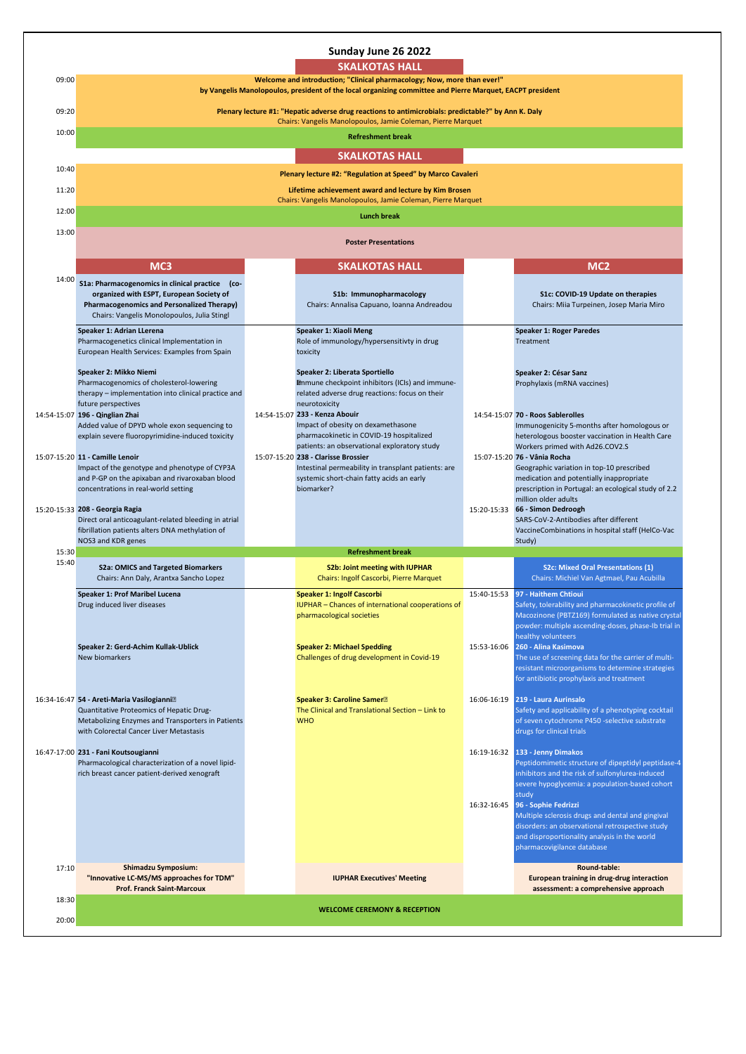|       |                                                                                                                                              | Sunday June 26 2022                                                                                                                                                                  |                                                                                           |
|-------|----------------------------------------------------------------------------------------------------------------------------------------------|--------------------------------------------------------------------------------------------------------------------------------------------------------------------------------------|-------------------------------------------------------------------------------------------|
|       |                                                                                                                                              | <b>SKALKOTAS HALL</b>                                                                                                                                                                |                                                                                           |
| 09:00 |                                                                                                                                              | Welcome and introduction; "Clinical pharmacology; Now, more than ever!"<br>by Vangelis Manolopoulos, president of the local organizing committee and Pierre Marquet, EACPT president |                                                                                           |
| 09:20 |                                                                                                                                              |                                                                                                                                                                                      |                                                                                           |
|       |                                                                                                                                              | Plenary lecture #1: "Hepatic adverse drug reactions to antimicrobials: predictable?" by Ann K. Daly<br>Chairs: Vangelis Manolopoulos, Jamie Coleman, Pierre Marquet                  |                                                                                           |
| 10:00 |                                                                                                                                              | <b>Refreshment break</b>                                                                                                                                                             |                                                                                           |
|       |                                                                                                                                              | <b>SKALKOTAS HALL</b>                                                                                                                                                                |                                                                                           |
| 10:40 |                                                                                                                                              | Plenary lecture #2: "Regulation at Speed" by Marco Cavaleri                                                                                                                          |                                                                                           |
| 11:20 |                                                                                                                                              | Lifetime achievement award and lecture by Kim Brosen                                                                                                                                 |                                                                                           |
| 12:00 |                                                                                                                                              | Chairs: Vangelis Manolopoulos, Jamie Coleman, Pierre Marquet<br><b>Lunch break</b>                                                                                                   |                                                                                           |
| 13:00 |                                                                                                                                              |                                                                                                                                                                                      |                                                                                           |
|       |                                                                                                                                              | <b>Poster Presentations</b>                                                                                                                                                          |                                                                                           |
|       | MC <sub>3</sub>                                                                                                                              | <b>SKALKOTAS HALL</b>                                                                                                                                                                | MC <sub>2</sub>                                                                           |
| 14:00 | S1a: Pharmacogenomics in clinical practice (co-                                                                                              |                                                                                                                                                                                      |                                                                                           |
|       | organized with ESPT, European Society of<br><b>Pharmacogenomics and Personalized Therapy)</b><br>Chairs: Vangelis Monolopoulos, Julia Stingl | S1b: Immunopharmacology<br>Chairs: Annalisa Capuano, Ioanna Andreadou                                                                                                                | S1c: COVID-19 Update on therapies<br>Chairs: Miia Turpeinen, Josep Maria Miro             |
|       | Speaker 1: Adrian LLerena                                                                                                                    | Speaker 1: Xiaoli Meng                                                                                                                                                               | <b>Speaker 1: Roger Paredes</b>                                                           |
|       | Pharmacogenetics clinical Implementation in<br>European Health Services: Examples from Spain                                                 | Role of immunology/hypersensitivty in drug<br>toxicity                                                                                                                               | Treatment                                                                                 |
|       | Speaker 2: Mikko Niemi                                                                                                                       | Speaker 2: Liberata Sportiello                                                                                                                                                       | Speaker 2: César Sanz                                                                     |
|       | Pharmacogenomics of cholesterol-lowering<br>therapy - implementation into clinical practice and                                              | Emmune checkpoint inhibitors (ICIs) and immune-<br>related adverse drug reactions: focus on their                                                                                    | Prophylaxis (mRNA vaccines)                                                               |
|       | future perspectives                                                                                                                          | neurotoxicity                                                                                                                                                                        |                                                                                           |
|       | 14:54-15:07 196 - Qinglian Zhai<br>Added value of DPYD whole exon sequencing to                                                              | 14:54-15:07 233 - Kenza Abouir<br>Impact of obesity on dexamethasone                                                                                                                 | 14:54-15:07 70 - Roos Sablerolles<br>Immunogenicity 5-months after homologous or          |
|       | explain severe fluoropyrimidine-induced toxicity                                                                                             | pharmacokinetic in COVID-19 hospitalized<br>patients: an observational exploratory study                                                                                             | heterologous booster vaccination in Health Care<br>Workers primed with Ad26.COV2.S        |
|       | 15:07-15:20 11 - Camille Lenoir                                                                                                              | 15:07-15:20 238 - Clarisse Brossier                                                                                                                                                  | 15:07-15:20 76 - Vânia Rocha                                                              |
|       | Impact of the genotype and phenotype of CYP3A<br>and P-GP on the apixaban and rivaroxaban blood                                              | Intestinal permeability in transplant patients: are<br>systemic short-chain fatty acids an early                                                                                     | Geographic variation in top-10 prescribed<br>medication and potentially inappropriate     |
|       | concentrations in real-world setting                                                                                                         | biomarker?                                                                                                                                                                           | prescription in Portugal: an ecological study of 2.2<br>million older adults              |
|       | 15:20-15:33 208 - Georgia Ragia                                                                                                              |                                                                                                                                                                                      | 15:20-15:33 66 - Simon Dedroogh                                                           |
|       | Direct oral anticoagulant-related bleeding in atrial<br>fibrillation patients alters DNA methylation of                                      |                                                                                                                                                                                      | SARS-CoV-2-Antibodies after different<br>VaccineCombinations in hospital staff (HelCo-Vac |
| 15:30 | NOS3 and KDR genes                                                                                                                           | <b>Refreshment break</b>                                                                                                                                                             | Study)                                                                                    |
| 15:40 | <b>S2a: OMICS and Targeted Biomarkers</b>                                                                                                    | <b>S2b: Joint meeting with IUPHAR</b>                                                                                                                                                | S2c: Mixed Oral Presentations (1)                                                         |
|       | Chairs: Ann Daly, Arantxa Sancho Lopez                                                                                                       | Chairs: Ingolf Cascorbi, Pierre Marquet                                                                                                                                              | Chairs: Michiel Van Agtmael, Pau Acubilla                                                 |
|       | Speaker 1: Prof Maribel Lucena<br>Drug induced liver diseases                                                                                | Speaker 1: Ingolf Cascorbi<br>IUPHAR - Chances of international cooperations of                                                                                                      | 15:40-15:53 97 - Haithem Chtioui<br>Safety, tolerability and pharmacokinetic profile of   |
|       |                                                                                                                                              | pharmacological societies                                                                                                                                                            | Macozinone (PBTZ169) formulated as native crystal                                         |
|       |                                                                                                                                              |                                                                                                                                                                                      | powder: multiple ascending-doses, phase-Ib trial in<br>healthy volunteers                 |
|       | Speaker 2: Gerd-Achim Kullak-Ublick<br>New biomarkers                                                                                        | <b>Speaker 2: Michael Spedding</b><br>Challenges of drug development in Covid-19                                                                                                     | 15:53-16:06 260 - Alina Kasimova<br>The use of screening data for the carrier of multi-   |
|       |                                                                                                                                              |                                                                                                                                                                                      | resistant microorganisms to determine strategies                                          |
|       |                                                                                                                                              |                                                                                                                                                                                      | for antibiotic prophylaxis and treatment                                                  |
|       | 16:34-16:47 54 - Areti-Maria Vasilogianni <sup>2</sup><br>Quantitative Proteomics of Hepatic Drug-                                           | <b>Speaker 3: Caroline Samer</b> <sup>2</sup><br>The Clinical and Translational Section - Link to                                                                                    | 16:06-16:19 219 - Laura Aurinsalo<br>Safety and applicability of a phenotyping cocktail   |
|       | Metabolizing Enzymes and Transporters in Patients                                                                                            | <b>WHO</b>                                                                                                                                                                           | of seven cytochrome P450 -selective substrate                                             |
|       | with Colorectal Cancer Liver Metastasis                                                                                                      |                                                                                                                                                                                      | drugs for clinical trials                                                                 |
|       | 16:47-17:00 231 - Fani Koutsougianni<br>Pharmacological characterization of a novel lipid-                                                   |                                                                                                                                                                                      | 16:19-16:32 133 - Jenny Dimakos<br>Peptidomimetic structure of dipeptidyl peptidase-4     |
|       | rich breast cancer patient-derived xenograft                                                                                                 |                                                                                                                                                                                      | inhibitors and the risk of sulfonylurea-induced                                           |
|       |                                                                                                                                              |                                                                                                                                                                                      | severe hypoglycemia: a population-based cohort<br>study                                   |
|       |                                                                                                                                              |                                                                                                                                                                                      | 16:32-16:45 96 - Sophie Fedrizzi<br>Multiple sclerosis drugs and dental and gingival      |
|       |                                                                                                                                              |                                                                                                                                                                                      | disorders: an observational retrospective study                                           |
|       |                                                                                                                                              |                                                                                                                                                                                      | and disproportionality analysis in the world<br>pharmacovigilance database                |
| 17:10 | <b>Shimadzu Symposium:</b>                                                                                                                   |                                                                                                                                                                                      | Round-table:                                                                              |
|       | "Innovative LC-MS/MS approaches for TDM"                                                                                                     | <b>IUPHAR Executives' Meeting</b>                                                                                                                                                    | European training in drug-drug interaction                                                |
| 18:30 | <b>Prof. Franck Saint-Marcoux</b>                                                                                                            |                                                                                                                                                                                      | assessment: a comprehensive approach                                                      |
| 20:00 |                                                                                                                                              | <b>WELCOME CEREMONY &amp; RECEPTION</b>                                                                                                                                              |                                                                                           |
|       |                                                                                                                                              |                                                                                                                                                                                      |                                                                                           |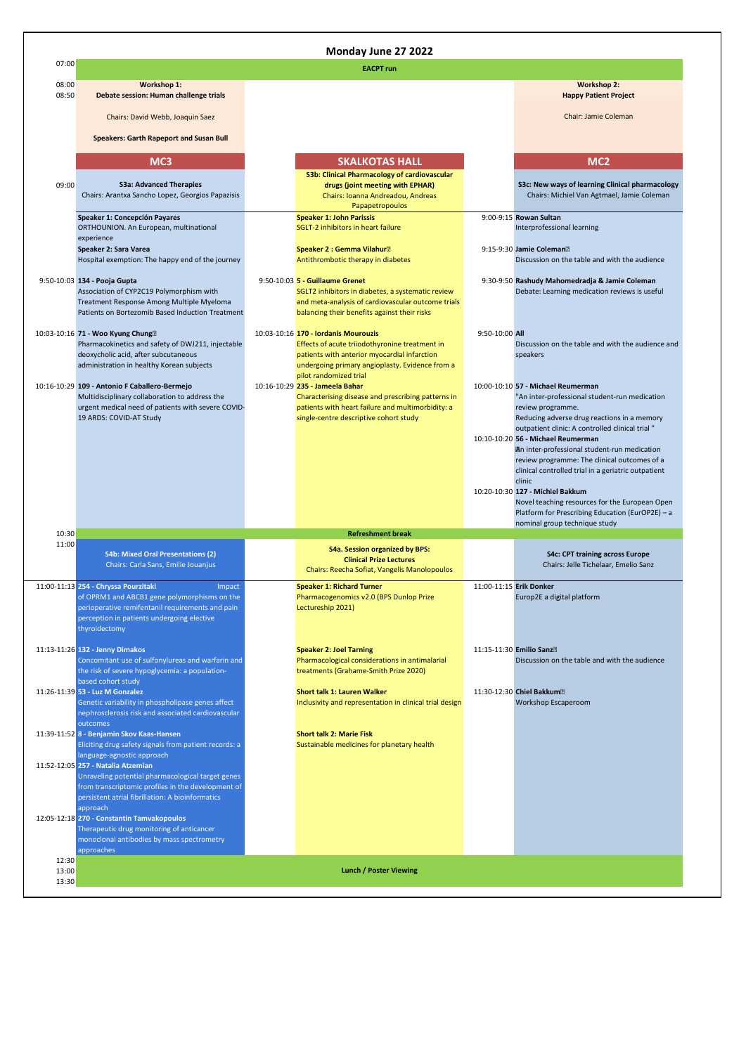|                         |                                                                                                                                                                                                                   | Monday June 27 2022                                                                                                                                                                                            |                         |                                                                                                                                                                                                                                                                                                                                                   |
|-------------------------|-------------------------------------------------------------------------------------------------------------------------------------------------------------------------------------------------------------------|----------------------------------------------------------------------------------------------------------------------------------------------------------------------------------------------------------------|-------------------------|---------------------------------------------------------------------------------------------------------------------------------------------------------------------------------------------------------------------------------------------------------------------------------------------------------------------------------------------------|
| 07:00                   |                                                                                                                                                                                                                   | <b>EACPT</b> run                                                                                                                                                                                               |                         |                                                                                                                                                                                                                                                                                                                                                   |
| 08:00<br>08:50          | Workshop 1:<br>Debate session: Human challenge trials                                                                                                                                                             |                                                                                                                                                                                                                |                         | <b>Workshop 2:</b><br><b>Happy Patient Project</b>                                                                                                                                                                                                                                                                                                |
|                         | Chairs: David Webb, Joaquin Saez                                                                                                                                                                                  |                                                                                                                                                                                                                |                         | Chair: Jamie Coleman                                                                                                                                                                                                                                                                                                                              |
|                         | <b>Speakers: Garth Rapeport and Susan Bull</b>                                                                                                                                                                    |                                                                                                                                                                                                                |                         |                                                                                                                                                                                                                                                                                                                                                   |
|                         | MC <sub>3</sub>                                                                                                                                                                                                   | <b>SKALKOTAS HALL</b>                                                                                                                                                                                          |                         | MC <sub>2</sub>                                                                                                                                                                                                                                                                                                                                   |
| 09:00                   | <b>S3a: Advanced Therapies</b><br>Chairs: Arantxa Sancho Lopez, Georgios Papazisis                                                                                                                                | S3b: Clinical Pharmacology of cardiovascular<br>drugs (joint meeting with EPHAR)<br>Chairs: Ioanna Andreadou, Andreas<br>Papapetropoulos                                                                       |                         | S3c: New ways of learning Clinical pharmacology<br>Chairs: Michiel Van Agtmael, Jamie Coleman                                                                                                                                                                                                                                                     |
|                         | Speaker 1: Concepción Payares<br>ORTHOUNION. An European, multinational<br>experience<br>Speaker 2: Sara Varea                                                                                                    | <b>Speaker 1: John Parissis</b><br>SGLT-2 inhibitors in heart failure<br>Speaker 2 : Gemma Vilahur <sup>2</sup>                                                                                                |                         | 9:00-9:15 Rowan Sultan<br>Interprofessional learning<br>9:15-9:30 Jamie Coleman <sup>2</sup>                                                                                                                                                                                                                                                      |
|                         | Hospital exemption: The happy end of the journey                                                                                                                                                                  | Antithrombotic therapy in diabetes                                                                                                                                                                             |                         | Discussion on the table and with the audience                                                                                                                                                                                                                                                                                                     |
|                         | 9:50-10:03 134 - Pooja Gupta<br>Association of CYP2C19 Polymorphism with<br>Treatment Response Among Multiple Myeloma<br>Patients on Bortezomib Based Induction Treatment                                         | 9:50-10:03 5 - Guillaume Grenet<br>SGLT2 inhibitors in diabetes, a systematic review<br>and meta-analysis of cardiovascular outcome trials<br>balancing their benefits against their risks                     |                         | 9:30-9:50 Rashudy Mahomedradja & Jamie Coleman<br>Debate: Learning medication reviews is useful                                                                                                                                                                                                                                                   |
|                         | 10:03-10:16 71 - Woo Kyung Chung <sup>[2]</sup><br>Pharmacokinetics and safety of DWJ211, injectable<br>deoxycholic acid, after subcutaneous<br>administration in healthy Korean subjects                         | 10:03-10:16 170 - Iordanis Mourouzis<br>Effects of acute triiodothyronine treatment in<br>patients with anterior myocardial infarction<br>undergoing primary angioplasty. Evidence from a                      | 9:50-10:00 All          | Discussion on the table and with the audience and<br>speakers                                                                                                                                                                                                                                                                                     |
|                         | 10:16-10:29 109 - Antonio F Caballero-Bermejo<br>Multidisciplinary collaboration to address the<br>urgent medical need of patients with severe COVID-<br>19 ARDS: COVID-AT Study                                  | pilot randomized trial<br>10:16-10:29 235 - Jameela Bahar<br>Characterising disease and prescribing patterns in<br>patients with heart failure and multimorbidity: a<br>single-centre descriptive cohort study |                         | 10:00-10:10 57 - Michael Reumerman<br>"An inter-professional student-run medication<br>review programme.<br>Reducing adverse drug reactions in a memory<br>outpatient clinic: A controlled clinical trial "<br>10:10-10:20 56 - Michael Reumerman<br>An inter-professional student-run medication<br>review programme: The clinical outcomes of a |
|                         |                                                                                                                                                                                                                   |                                                                                                                                                                                                                |                         | clinical controlled trial in a geriatric outpatient<br>clinic<br>10:20-10:30 127 - Michiel Bakkum<br>Novel teaching resources for the European Open<br>Platform for Prescribing Education (EurOP2E) - a<br>nominal group technique study                                                                                                          |
| 10:30<br>11:00          |                                                                                                                                                                                                                   | <b>Refreshment break</b>                                                                                                                                                                                       |                         |                                                                                                                                                                                                                                                                                                                                                   |
|                         | <b>S4b: Mixed Oral Presentations (2)</b><br>Chairs: Carla Sans, Emilie Jouanjus                                                                                                                                   | <b>S4a. Session organized by BPS:</b><br><b>Clinical Prize Lectures</b><br>Chairs: Reecha Sofiat, Vangelis Manolopoulos                                                                                        |                         | <b>S4c: CPT training across Europe</b><br>Chairs: Jelle Tichelaar, Emelio Sanz                                                                                                                                                                                                                                                                    |
|                         | 11:00-11:13 254 - Chryssa Pourzitaki<br>Impact<br>of OPRM1 and ABCB1 gene polymorphisms on the<br>perioperative remifentanil requirements and pain<br>perception in patients undergoing elective<br>thyroidectomy | <b>Speaker 1: Richard Turner</b><br>Pharmacogenomics v2.0 (BPS Dunlop Prize<br>Lectureship 2021)                                                                                                               | 11:00-11:15 Erik Donker | Europ2E a digital platform                                                                                                                                                                                                                                                                                                                        |
|                         | 11:13-11:26 132 - Jenny Dimakos<br>Concomitant use of sulfonylureas and warfarin and<br>the risk of severe hypoglycemia: a population-<br>based cohort study                                                      | <b>Speaker 2: Joel Tarning</b><br>Pharmacological considerations in antimalarial<br>treatments (Grahame-Smith Prize 2020)                                                                                      |                         | 11:15-11:30 Emilio Sanz <sup>®</sup><br>Discussion on the table and with the audience                                                                                                                                                                                                                                                             |
|                         | 11:26-11:39 53 - Luz M Gonzalez<br>Genetic variability in phospholipase genes affect<br>nephrosclerosis risk and associated cardiovascular                                                                        | Short talk 1: Lauren Walker<br>Inclusivity and representation in clinical trial design                                                                                                                         |                         | 11:30-12:30 Chiel Bakkum <sup>®</sup><br>Workshop Escaperoom                                                                                                                                                                                                                                                                                      |
|                         | outcomes<br>11:39-11:52 8 - Benjamin Skov Kaas-Hansen<br>Eliciting drug safety signals from patient records: a<br>language-agnostic approach                                                                      | <b>Short talk 2: Marie Fisk</b><br>Sustainable medicines for planetary health                                                                                                                                  |                         |                                                                                                                                                                                                                                                                                                                                                   |
|                         | 11:52-12:05 257 - Natalia Atzemian<br>Unraveling potential pharmacological target genes<br>from transcriptomic profiles in the development of<br>persistent atrial fibrillation: A bioinformatics<br>approach     |                                                                                                                                                                                                                |                         |                                                                                                                                                                                                                                                                                                                                                   |
|                         | 12:05-12:18 270 - Constantin Tamvakopoulos<br>Therapeutic drug monitoring of anticancer<br>monoclonal antibodies by mass spectrometry<br>approaches                                                               |                                                                                                                                                                                                                |                         |                                                                                                                                                                                                                                                                                                                                                   |
| 12:30<br>13:00<br>13:30 |                                                                                                                                                                                                                   | <b>Lunch / Poster Viewing</b>                                                                                                                                                                                  |                         |                                                                                                                                                                                                                                                                                                                                                   |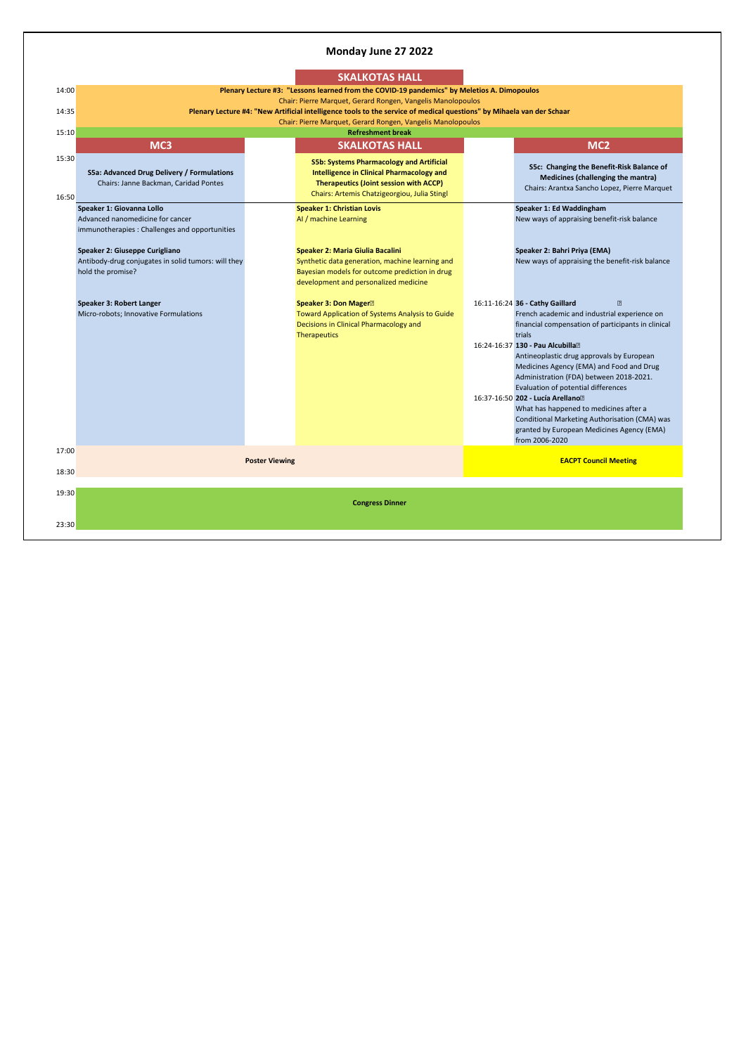## **Monday June 27 2022**

| 14:35          |                                                                                                                 |                       | Chair: Pierre Marquet, Gerard Rongen, Vangelis Manolopoulos<br>Plenary Lecture #4: "New Artificial intelligence tools to the service of medical questions" by Mihaela van der Schaar<br>Chair: Pierre Marquet, Gerard Rongen, Vangelis Manolopoulos |                                                                                                                                                                                                                                                                                                                                                                                                                                              |
|----------------|-----------------------------------------------------------------------------------------------------------------|-----------------------|-----------------------------------------------------------------------------------------------------------------------------------------------------------------------------------------------------------------------------------------------------|----------------------------------------------------------------------------------------------------------------------------------------------------------------------------------------------------------------------------------------------------------------------------------------------------------------------------------------------------------------------------------------------------------------------------------------------|
| 15:10          | MC <sub>3</sub>                                                                                                 |                       | <b>Refreshment break</b><br><b>SKALKOTAS HALL</b>                                                                                                                                                                                                   | MC <sub>2</sub>                                                                                                                                                                                                                                                                                                                                                                                                                              |
| 15:30<br>16:50 | S5a: Advanced Drug Delivery / Formulations<br>Chairs: Janne Backman, Caridad Pontes                             |                       | <b>S5b: Systems Pharmacology and Artificial</b><br><b>Intelligence in Clinical Pharmacology and</b><br><b>Therapeutics (Joint session with ACCP)</b><br>Chairs: Artemis Chatzigeorgiou, Julia Stingl                                                | S5c: Changing the Benefit-Risk Balance of<br>Medicines (challenging the mantra)<br>Chairs: Arantxa Sancho Lopez, Pierre Marquet                                                                                                                                                                                                                                                                                                              |
|                | Speaker 1: Giovanna Lollo<br>Advanced nanomedicine for cancer<br>immunotherapies : Challenges and opportunities |                       | <b>Speaker 1: Christian Lovis</b><br>Al / machine Learning                                                                                                                                                                                          | Speaker 1: Ed Waddingham<br>New ways of appraising benefit-risk balance                                                                                                                                                                                                                                                                                                                                                                      |
|                | Speaker 2: Giuseppe Curigliano<br>Antibody-drug conjugates in solid tumors: will they<br>hold the promise?      |                       | Speaker 2: Maria Giulia Bacalini<br>Synthetic data generation, machine learning and<br>Bayesian models for outcome prediction in drug<br>development and personalized medicine                                                                      | Speaker 2: Bahri Priya (EMA)<br>New ways of appraising the benefit-risk balance                                                                                                                                                                                                                                                                                                                                                              |
|                | Speaker 3: Robert Langer<br>Micro-robots; Innovative Formulations                                               |                       | Speaker 3: Don Mager <sup>2</sup><br>Toward Application of Systems Analysis to Guide<br>Decisions in Clinical Pharmacology and<br><b>Therapeutics</b>                                                                                               | 16:11-16:24 36 - Cathy Gaillard<br>$\boxed{2}$<br>French academic and industrial experience on<br>financial compensation of participants in clinical<br>trials<br>16:24-16:37 130 - Pau Alcubilla <sup>[2]</sup><br>Antineoplastic drug approvals by European<br>Medicines Agency (EMA) and Food and Drug<br>Administration (FDA) between 2018-2021.<br>Evaluation of potential differences<br>16:37-16:50 202 - Lucía Arellano <sup>®</sup> |
|                |                                                                                                                 |                       |                                                                                                                                                                                                                                                     | What has happened to medicines after a<br>Conditional Marketing Authorisation (CMA) was<br>granted by European Medicines Agency (EMA)<br>from 2006-2020                                                                                                                                                                                                                                                                                      |
| 17:00<br>18:30 |                                                                                                                 | <b>Poster Viewing</b> |                                                                                                                                                                                                                                                     | <b>EACPT Council Meeting</b>                                                                                                                                                                                                                                                                                                                                                                                                                 |